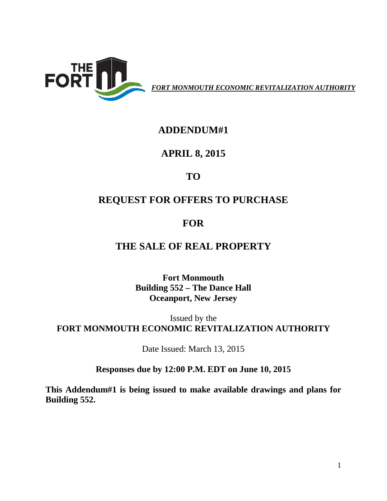

*FORT MONMOUTH ECONOMIC REVITALIZATION AUTHORITY*

#### **ADDENDUM#1**

#### **APRIL 8, 2015**

# **TO**

## **REQUEST FOR OFFERS TO PURCHASE**

## **FOR**

### **THE SALE OF REAL PROPERTY**

**Fort Monmouth Building 552 – The Dance Hall Oceanport, New Jersey**

Issued by the **FORT MONMOUTH ECONOMIC REVITALIZATION AUTHORITY**

Date Issued: March 13, 2015

#### **Responses due by 12:00 P.M. EDT on June 10, 2015**

**This Addendum#1 is being issued to make available drawings and plans for Building 552.**